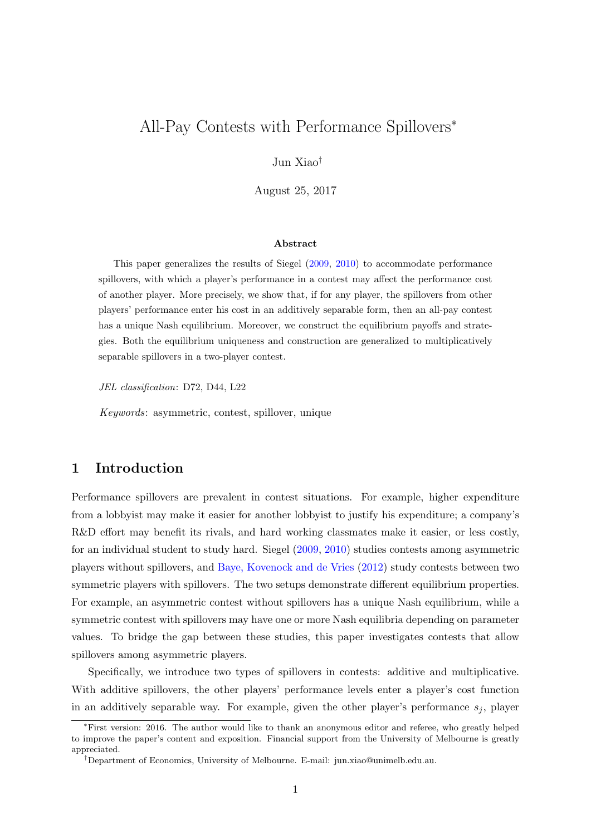# <span id="page-0-0"></span>All-Pay Contests with Performance Spillovers<sup>∗</sup>

Jun Xiao†

August 25, 2017

#### Abstract

This paper generalizes the results of Siegel [\(2009,](#page-11-0) [2010\)](#page-11-1) to accommodate performance spillovers, with which a player's performance in a contest may affect the performance cost of another player. More precisely, we show that, if for any player, the spillovers from other players' performance enter his cost in an additively separable form, then an all-pay contest has a unique Nash equilibrium. Moreover, we construct the equilibrium payoffs and strategies. Both the equilibrium uniqueness and construction are generalized to multiplicatively separable spillovers in a two-player contest.

JEL classification: D72, D44, L22

Keywords: asymmetric, contest, spillover, unique

# 1 Introduction

Performance spillovers are prevalent in contest situations. For example, higher expenditure from a lobbyist may make it easier for another lobbyist to justify his expenditure; a company's R&D effort may benefit its rivals, and hard working classmates make it easier, or less costly, for an individual student to study hard. Siegel [\(2009,](#page-11-0) [2010\)](#page-11-1) studies contests among asymmetric players without spillovers, and [Baye, Kovenock and de Vries](#page-10-0) [\(2012\)](#page-10-0) study contests between two symmetric players with spillovers. The two setups demonstrate different equilibrium properties. For example, an asymmetric contest without spillovers has a unique Nash equilibrium, while a symmetric contest with spillovers may have one or more Nash equilibria depending on parameter values. To bridge the gap between these studies, this paper investigates contests that allow spillovers among asymmetric players.

Specifically, we introduce two types of spillovers in contests: additive and multiplicative. With additive spillovers, the other players' performance levels enter a player's cost function in an additively separable way. For example, given the other player's performance  $s_j$ , player

<sup>∗</sup>First version: 2016. The author would like to thank an anonymous editor and referee, who greatly helped to improve the paper's content and exposition. Financial support from the University of Melbourne is greatly appreciated.

<sup>†</sup>Department of Economics, University of Melbourne. E-mail: jun.xiao@unimelb.edu.au.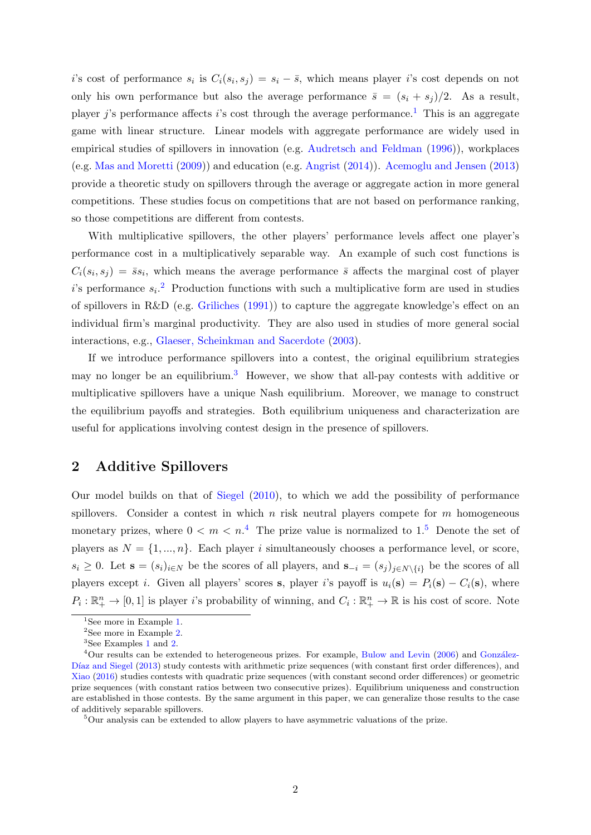<span id="page-1-6"></span>i's cost of performance  $s_i$  is  $C_i(s_i, s_j) = s_i - \bar{s}$ , which means player i's cost depends on not only his own performance but also the average performance  $\bar{s} = (s_i + s_j)/2$ . As a result, player j's performance affects i's cost through the average performance.<sup>[1](#page-1-0)</sup> This is an aggregate game with linear structure. Linear models with aggregate performance are widely used in empirical studies of spillovers in innovation (e.g. [Audretsch and Feldman](#page-10-1) [\(1996\)](#page-10-1)), workplaces (e.g. [Mas and Moretti](#page-11-2) [\(2009\)](#page-11-2)) and education (e.g. [Angrist](#page-10-2) [\(2014\)](#page-10-2)). [Acemoglu and Jensen](#page-10-3) [\(2013\)](#page-10-3) provide a theoretic study on spillovers through the average or aggregate action in more general competitions. These studies focus on competitions that are not based on performance ranking, so those competitions are different from contests.

With multiplicative spillovers, the other players' performance levels affect one player's performance cost in a multiplicatively separable way. An example of such cost functions is  $C_i(s_i, s_j) = \bar{s}s_i$ , which means the average performance  $\bar{s}$  affects the marginal cost of player i's performance  $s_i$ <sup>[2](#page-1-1)</sup> Production functions with such a multiplicative form are used in studies of spillovers in R&D (e.g. [Griliches](#page-11-3) [\(1991\)](#page-11-3)) to capture the aggregate knowledge's effect on an individual firm's marginal productivity. They are also used in studies of more general social interactions, e.g., [Glaeser, Scheinkman and Sacerdote](#page-11-4) [\(2003\)](#page-11-4).

If we introduce performance spillovers into a contest, the original equilibrium strategies may no longer be an equilibrium.<sup>[3](#page-1-2)</sup> However, we show that all-pay contests with additive or multiplicative spillovers have a unique Nash equilibrium. Moreover, we manage to construct the equilibrium payoffs and strategies. Both equilibrium uniqueness and characterization are useful for applications involving contest design in the presence of spillovers.

### <span id="page-1-5"></span>2 Additive Spillovers

Our model builds on that of [Siegel](#page-11-1) [\(2010\)](#page-11-1), to which we add the possibility of performance spillovers. Consider a contest in which  $n$  risk neutral players compete for  $m$  homogeneous monetary prizes, where  $0 < m < n<sup>4</sup>$  $0 < m < n<sup>4</sup>$  $0 < m < n<sup>4</sup>$  The prize value is normalized to 1.<sup>[5](#page-1-4)</sup> Denote the set of players as  $N = \{1, ..., n\}$ . Each player i simultaneously chooses a performance level, or score,  $s_i \geq 0$ . Let  $\mathbf{s} = (s_i)_{i \in N}$  be the scores of all players, and  $\mathbf{s}_{-i} = (s_j)_{j \in N \setminus \{i\}}$  be the scores of all players except *i*. Given all players' scores s, player *i*'s payoff is  $u_i(\mathbf{s}) = P_i(\mathbf{s}) - C_i(\mathbf{s})$ , where  $P_i: \mathbb{R}^n_+ \to [0,1]$  is player *i*'s probability of winning, and  $C_i: \mathbb{R}^n_+ \to \mathbb{R}$  is his cost of score. Note

<span id="page-1-0"></span><sup>&</sup>lt;sup>1</sup>See more in Example [1.](#page-2-0)

<span id="page-1-1"></span><sup>&</sup>lt;sup>2</sup>See more in Example [2.](#page-6-0)

<span id="page-1-3"></span><span id="page-1-2"></span><sup>3</sup>See Examples [1](#page-2-0) and [2.](#page-6-0)

 $4$ Our results can be extended to heterogeneous prizes. For example, [Bulow and Levin](#page-11-5) [\(2006\)](#page-11-5) and González-Díaz and Siegel [\(2013\)](#page-11-6) study contests with arithmetic prize sequences (with constant first order differences), and [Xiao](#page-11-7) [\(2016\)](#page-11-7) studies contests with quadratic prize sequences (with constant second order differences) or geometric prize sequences (with constant ratios between two consecutive prizes). Equilibrium uniqueness and construction are established in those contests. By the same argument in this paper, we can generalize those results to the case of additively separable spillovers.

<span id="page-1-4"></span><sup>5</sup>Our analysis can be extended to allow players to have asymmetric valuations of the prize.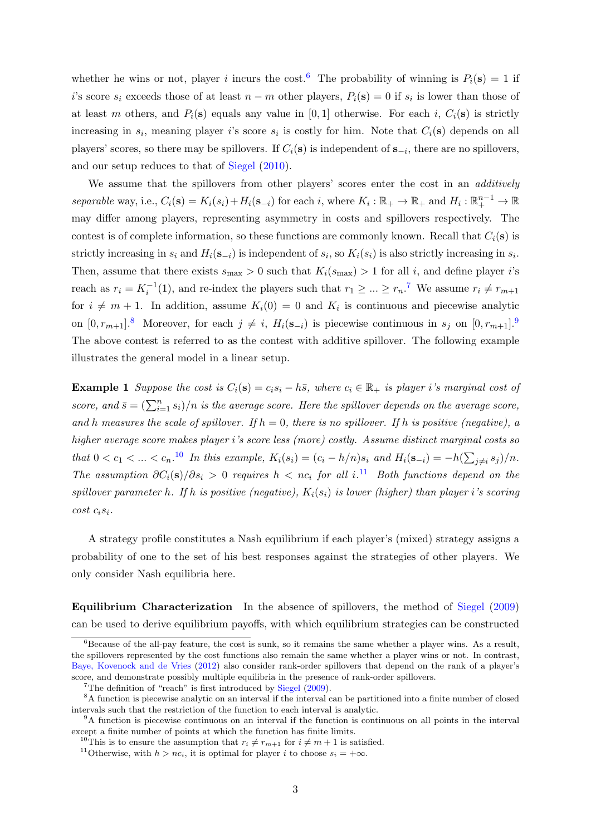<span id="page-2-7"></span>whether he wins or not, player i incurs the cost.<sup>[6](#page-2-1)</sup> The probability of winning is  $P_i(\mathbf{s}) = 1$  if i's score  $s_i$  exceeds those of at least  $n - m$  other players,  $P_i(\mathbf{s}) = 0$  if  $s_i$  is lower than those of at least m others, and  $P_i(\mathbf{s})$  equals any value in [0, 1] otherwise. For each i,  $C_i(\mathbf{s})$  is strictly increasing in  $s_i$ , meaning player i's score  $s_i$  is costly for him. Note that  $C_i(\mathbf{s})$  depends on all players' scores, so there may be spillovers. If  $C_i(\mathbf{s})$  is independent of  $\mathbf{s}_{-i}$ , there are no spillovers, and our setup reduces to that of [Siegel](#page-11-1) [\(2010\)](#page-11-1).

We assume that the spillovers from other players' scores enter the cost in an *additively* separable way, i.e.,  $C_i(\mathbf{s}) = K_i(s_i) + H_i(\mathbf{s}_{-i})$  for each i, where  $K_i : \mathbb{R}_+ \to \mathbb{R}_+$  and  $H_i : \mathbb{R}_+^{n-1} \to \mathbb{R}$ may differ among players, representing asymmetry in costs and spillovers respectively. The contest is of complete information, so these functions are commonly known. Recall that  $C_i(\mathbf{s})$  is strictly increasing in  $s_i$  and  $H_i(\mathbf{s}_{-i})$  is independent of  $s_i$ , so  $K_i(s_i)$  is also strictly increasing in  $s_i$ . Then, assume that there exists  $s_{\text{max}} > 0$  such that  $K_i(s_{\text{max}}) > 1$  for all i, and define player i's reach as  $r_i = K_i^{-1}(1)$ , and re-index the players such that  $r_1 \geq ... \geq r_n$ .<sup>[7](#page-2-2)</sup> We assume  $r_i \neq r_{m+1}$ for  $i \neq m + 1$ . In addition, assume  $K_i(0) = 0$  and  $K_i$  is continuous and piecewise analytic on  $[0, r_{m+1}]$ .<sup>[8](#page-2-3)</sup> Moreover, for each  $j \neq i$ ,  $H_i(\mathbf{s}_{-i})$  is piecewise continuous in  $s_j$  on  $[0, r_{m+1}]$ .<sup>[9](#page-2-4)</sup> The above contest is referred to as the contest with additive spillover. The following example illustrates the general model in a linear setup.

<span id="page-2-0"></span>**Example 1** Suppose the cost is  $C_i(\mathbf{s}) = c_i s_i - h\bar{s}$ , where  $c_i \in \mathbb{R}_+$  is player i's marginal cost of score, and  $\bar{s} = (\sum_{i=1}^{n} s_i)/n$  is the average score. Here the spillover depends on the average score, and h measures the scale of spillover. If  $h = 0$ , there is no spillover. If h is positive (negative), a higher average score makes player i's score less (more) costly. Assume distinct marginal costs so that  $0 < c_1 < ... < c_n$ .<sup>[10](#page-2-5)</sup> In this example,  $K_i(s_i) = (c_i - h/n)s_i$  and  $H_i(\mathbf{s}_{-i}) = -h(\sum_{j \neq i} s_j)/n$ . The assumption  $\partial C_i(s)/\partial s_i > 0$  requires  $h < nc_i$  for all  $i^{11}$  $i^{11}$  $i^{11}$  Both functions depend on the spillover parameter h. If h is positive (negative),  $K_i(s_i)$  is lower (higher) than player i's scoring  $cost\ c_i s_i.$ 

A strategy profile constitutes a Nash equilibrium if each player's (mixed) strategy assigns a probability of one to the set of his best responses against the strategies of other players. We only consider Nash equilibria here.

Equilibrium Characterization In the absence of spillovers, the method of [Siegel](#page-11-0) [\(2009\)](#page-11-0) can be used to derive equilibrium payoffs, with which equilibrium strategies can be constructed

<span id="page-2-1"></span> ${}^{6}$ Because of the all-pay feature, the cost is sunk, so it remains the same whether a player wins. As a result, the spillovers represented by the cost functions also remain the same whether a player wins or not. In contrast, [Baye, Kovenock and de Vries](#page-10-0) [\(2012\)](#page-10-0) also consider rank-order spillovers that depend on the rank of a player's score, and demonstrate possibly multiple equilibria in the presence of rank-order spillovers.

<span id="page-2-3"></span><span id="page-2-2"></span><sup>7</sup>The definition of "reach" is first introduced by [Siegel](#page-11-0) [\(2009\)](#page-11-0).

<sup>8</sup>A function is piecewise analytic on an interval if the interval can be partitioned into a finite number of closed intervals such that the restriction of the function to each interval is analytic.

<span id="page-2-4"></span><sup>9</sup>A function is piecewise continuous on an interval if the function is continuous on all points in the interval except a finite number of points at which the function has finite limits.

<span id="page-2-5"></span><sup>&</sup>lt;sup>10</sup>This is to ensure the assumption that  $r_i \neq r_{m+1}$  for  $i \neq m+1$  is satisfied.

<span id="page-2-6"></span><sup>&</sup>lt;sup>11</sup>Otherwise, with  $h > nc_i$ , it is optimal for player i to choose  $s_i = +\infty$ .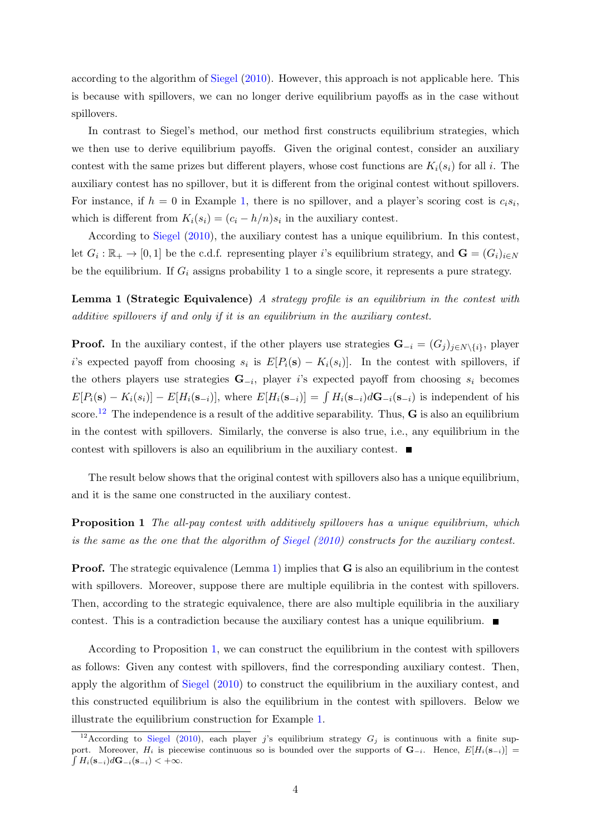<span id="page-3-3"></span>according to the algorithm of [Siegel](#page-11-1) [\(2010\)](#page-11-1). However, this approach is not applicable here. This is because with spillovers, we can no longer derive equilibrium payoffs as in the case without spillovers.

In contrast to Siegel's method, our method first constructs equilibrium strategies, which we then use to derive equilibrium payoffs. Given the original contest, consider an auxiliary contest with the same prizes but different players, whose cost functions are  $K_i(s_i)$  for all i. The auxiliary contest has no spillover, but it is different from the original contest without spillovers. For instance, if  $h = 0$  in Example [1,](#page-2-0) there is no spillover, and a player's scoring cost is  $c_i s_i$ , which is different from  $K_i(s_i) = (c_i - h/n)s_i$  in the auxiliary contest.

According to [Siegel](#page-11-1) [\(2010\)](#page-11-1), the auxiliary contest has a unique equilibrium. In this contest, let  $G_i: \mathbb{R}_+ \to [0,1]$  be the c.d.f. representing player i's equilibrium strategy, and  $\mathbf{G} = (G_i)_{i \in N}$ be the equilibrium. If  $G_i$  assigns probability 1 to a single score, it represents a pure strategy.

<span id="page-3-1"></span>Lemma 1 (Strategic Equivalence) A strategy profile is an equilibrium in the contest with additive spillovers if and only if it is an equilibrium in the auxiliary contest.

**Proof.** In the auxiliary contest, if the other players use strategies  $\mathbf{G}_{-i} = (G_j)_{j \in N \setminus \{i\}}$ , player i's expected payoff from choosing  $s_i$  is  $E[P_i(\mathbf{s}) - K_i(s_i)]$ . In the contest with spillovers, if the others players use strategies  $\mathbf{G}_{-i}$ , player i's expected payoff from choosing  $s_i$  becomes  $E[P_i(\mathbf{s}) - K_i(s_i)] - E[H_i(\mathbf{s}_{-i})]$ , where  $E[H_i(\mathbf{s}_{-i})] = \int H_i(\mathbf{s}_{-i}) d\mathbf{G}_{-i}(\mathbf{s}_{-i})$  is independent of his score.<sup>[12](#page-3-0)</sup> The independence is a result of the additive separability. Thus,  $\bf{G}$  is also an equilibrium in the contest with spillovers. Similarly, the converse is also true, i.e., any equilibrium in the contest with spillovers is also an equilibrium in the auxiliary contest.  $\blacksquare$ 

The result below shows that the original contest with spillovers also has a unique equilibrium, and it is the same one constructed in the auxiliary contest.

<span id="page-3-2"></span>**Proposition 1** The all-pay contest with additively spillovers has a unique equilibrium, which is the same as the one that the algorithm of [Siegel](#page-11-1) [\(2010\)](#page-11-1) constructs for the auxiliary contest.

Proof. The strategic equivalence (Lemma [1\)](#page-3-1) implies that **G** is also an equilibrium in the contest with spillovers. Moreover, suppose there are multiple equilibria in the contest with spillovers. Then, according to the strategic equivalence, there are also multiple equilibria in the auxiliary contest. This is a contradiction because the auxiliary contest has a unique equilibrium.  $\blacksquare$ 

According to Proposition [1,](#page-3-2) we can construct the equilibrium in the contest with spillovers as follows: Given any contest with spillovers, find the corresponding auxiliary contest. Then, apply the algorithm of [Siegel](#page-11-1) [\(2010\)](#page-11-1) to construct the equilibrium in the auxiliary contest, and this constructed equilibrium is also the equilibrium in the contest with spillovers. Below we illustrate the equilibrium construction for Example [1.](#page-2-0)

<span id="page-3-0"></span><sup>&</sup>lt;sup>12</sup>According to [Siegel](#page-11-1) [\(2010\)](#page-11-1), each player j's equilibrium strategy  $G_j$  is continuous with a finite support. Moreover,  $H_i$  is piecewise continuous so is bounded over the supports of  $\mathbf{G}_{-i}$ . Hence,  $E[H_i(\mathbf{s}_{-i})] =$  $\int H_i(\mathbf{s}_{-i})d\mathbf{G}_{-i}(\mathbf{s}_{-i}) < +\infty.$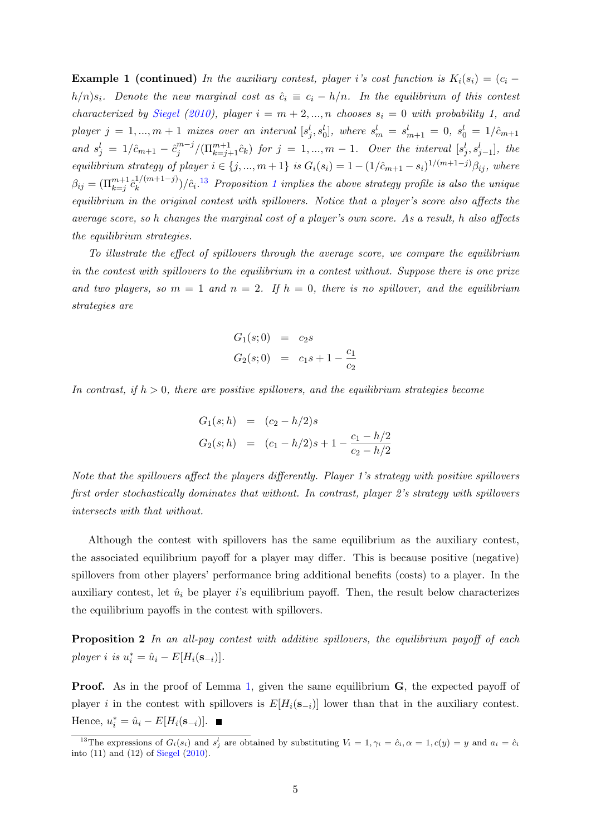<span id="page-4-2"></span>**Example 1 (continued)** In the auxiliary contest, player i's cost function is  $K_i(s_i) = (c_i$  $h/n$ )s<sub>i</sub>. Denote the new marginal cost as  $\hat{c}_i \equiv c_i - h/n$ . In the equilibrium of this contest characterized by [Siegel](#page-11-1) [\(2010\)](#page-11-1), player  $i = m + 2, ..., n$  chooses  $s_i = 0$  with probability 1, and  $player j = 1, ..., m + 1$  mixes over an interval  $[s_j^l, s_0^l]$ , where  $s_m^l = s_{m+1}^l = 0$ ,  $s_0^l = 1/\hat{c}_{m+1}$ and  $s_j^l = 1/\hat{c}_{m+1} - \hat{c}_j^{m-j}$  $j^{m-j} / (\Pi_{k=j+1}^{m+1} \hat{c}_k)$  for  $j = 1, ..., m-1$ . Over the interval  $[s_j^l, s_{j-1}^l]$ , the equilibrium strategy of player  $i \in \{j, ..., m+1\}$  is  $G_i(s_i) = 1 - (1/\hat{c}_{m+1} - s_i)^{1/(m+1-j)}\beta_{ij}$ , where  $\beta_{ij} = (\prod_{k=j}^{m+1} \hat{c}_k^{1/(m+1-j)})$  $\binom{1}{k} \binom{2}{i} \left( \hat{c}_i \cdot \frac{13}{2} \right)$  $\binom{1}{k} \binom{2}{i} \left( \hat{c}_i \cdot \frac{13}{2} \right)$  $\binom{1}{k} \binom{2}{i} \left( \hat{c}_i \cdot \frac{13}{2} \right)$  Proposition [1](#page-3-2) implies the above strategy profile is also the unique equilibrium in the original contest with spillovers. Notice that a player's score also affects the average score, so h changes the marginal cost of a player's own score. As a result, h also affects the equilibrium strategies.

To illustrate the effect of spillovers through the average score, we compare the equilibrium in the contest with spillovers to the equilibrium in a contest without. Suppose there is one prize and two players, so  $m = 1$  and  $n = 2$ . If  $h = 0$ , there is no spillover, and the equilibrium strategies are

$$
G_1(s; 0) = c_2 s
$$
  
\n
$$
G_2(s; 0) = c_1 s + 1 - \frac{c_1}{c_2}
$$

In contrast, if  $h > 0$ , there are positive spillovers, and the equilibrium strategies become

$$
G_1(s; h) = (c_2 - h/2)s
$$
  
\n
$$
G_2(s; h) = (c_1 - h/2)s + 1 - \frac{c_1 - h/2}{c_2 - h/2}
$$

Note that the spillovers affect the players differently. Player 1's strategy with positive spillovers first order stochastically dominates that without. In contrast, player 2's strategy with spillovers intersects with that without.

Although the contest with spillovers has the same equilibrium as the auxiliary contest, the associated equilibrium payoff for a player may differ. This is because positive (negative) spillovers from other players' performance bring additional benefits (costs) to a player. In the auxiliary contest, let  $\hat{u}_i$  be player i's equilibrium payoff. Then, the result below characterizes the equilibrium payoffs in the contest with spillovers.

<span id="page-4-1"></span>Proposition 2 In an all-pay contest with additive spillovers, the equilibrium payoff of each player i is  $u_i^* = \hat{u}_i - E[H_i(\mathbf{s}_{-i})].$ 

**Proof.** As in the proof of Lemma [1,](#page-3-1) given the same equilibrium **G**, the expected payoff of player i in the contest with spillovers is  $E[H_i(\mathbf{s}_{-i})]$  lower than that in the auxiliary contest. Hence,  $u_i^* = \hat{u}_i - E[H_i(\mathbf{s}_{-i})].$ 

<span id="page-4-0"></span><sup>&</sup>lt;sup>13</sup>The expressions of  $G_i(s_i)$  and  $s_j^l$  are obtained by substituting  $V_i = 1, \gamma_i = \hat{c}_i, \alpha = 1, c(y) = y$  and  $a_i = \hat{c}_i$ into (11) and (12) of [Siegel](#page-11-1) [\(2010\)](#page-11-1).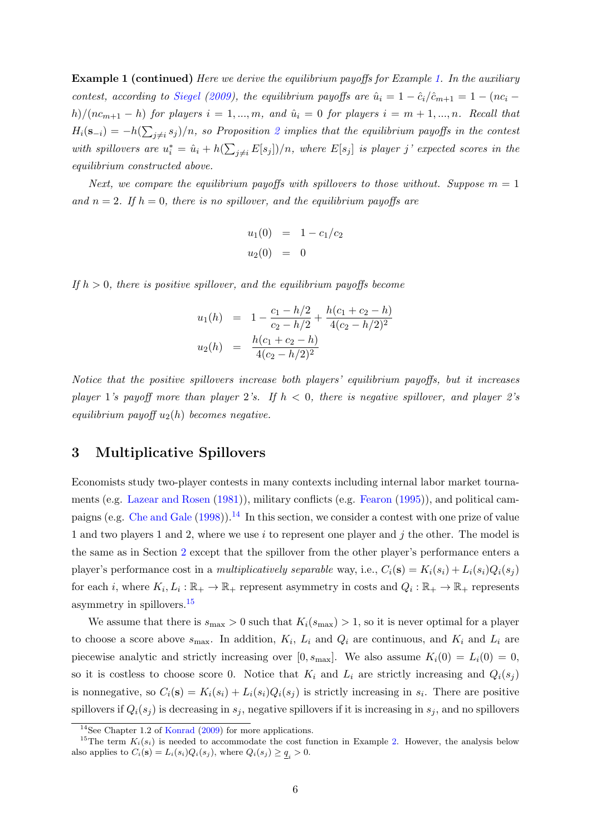<span id="page-5-2"></span>**Example 1 (continued)** Here we derive the equilibrium payoffs for Example [1.](#page-2-0) In the auxiliary contest, according to [Siegel](#page-11-0) [\(2009\)](#page-11-0), the equilibrium payoffs are  $\hat{u}_i = 1 - \hat{c}_i/\hat{c}_{m+1} = 1 - (nc_i$ h)/(nc<sub>m+1</sub> – h) for players  $i = 1, ..., m$ , and  $\hat{u}_i = 0$  for players  $i = m + 1, ..., n$ . Recall that  $H_i(\mathbf{s}_{-i}) = -h(\sum_{j\neq i} s_j)/n$ , so Proposition [2](#page-4-1) implies that the equilibrium payoffs in the contest with spillovers are  $u_i^* = \hat{u}_i + h(\sum_{j \neq i} E[s_j])/n$ , where  $E[s_j]$  is player j' expected scores in the equilibrium constructed above.

Next, we compare the equilibrium payoffs with spillovers to those without. Suppose  $m = 1$ and  $n = 2$ . If  $h = 0$ , there is no spillover, and the equilibrium payoffs are

$$
u_1(0) = 1 - c_1/c_2
$$
  

$$
u_2(0) = 0
$$

If  $h > 0$ , there is positive spillover, and the equilibrium payoffs become

$$
u_1(h) = 1 - \frac{c_1 - h/2}{c_2 - h/2} + \frac{h(c_1 + c_2 - h)}{4(c_2 - h/2)^2}
$$
  

$$
u_2(h) = \frac{h(c_1 + c_2 - h)}{4(c_2 - h/2)^2}
$$

Notice that the positive spillovers increase both players' equilibrium payoffs, but it increases player 1's payoff more than player 2's. If  $h < 0$ , there is negative spillover, and player 2's equilibrium payoff  $u_2(h)$  becomes negative.

# 3 Multiplicative Spillovers

Economists study two-player contests in many contexts including internal labor market tournaments (e.g. [Lazear and Rosen](#page-11-8) [\(1981\)](#page-11-8)), military conflicts (e.g. [Fearon](#page-11-9) [\(1995\)](#page-11-9)), and political campaigns (e.g. [Che and Gale](#page-11-10) [\(1998\)](#page-11-10)).[14](#page-5-0) In this section, we consider a contest with one prize of value 1 and two players 1 and 2, where we use i to represent one player and j the other. The model is the same as in Section [2](#page-1-5) except that the spillover from the other player's performance enters a player's performance cost in a multiplicatively separable way, i.e.,  $C_i(\mathbf{s}) = K_i(s_i) + L_i(s_i)Q_i(s_i)$ for each *i*, where  $K_i, L_i : \mathbb{R}_+ \to \mathbb{R}_+$  represent asymmetry in costs and  $Q_i : \mathbb{R}_+ \to \mathbb{R}_+$  represents asymmetry in spillovers.[15](#page-5-1)

We assume that there is  $s_{\text{max}} > 0$  such that  $K_i(s_{\text{max}}) > 1$ , so it is never optimal for a player to choose a score above  $s_{\text{max}}$ . In addition,  $K_i$ ,  $L_i$  and  $Q_i$  are continuous, and  $K_i$  and  $L_i$  are piecewise analytic and strictly increasing over  $[0, s_{\text{max}}]$ . We also assume  $K_i(0) = L_i(0) = 0$ , so it is costless to choose score 0. Notice that  $K_i$  and  $L_i$  are strictly increasing and  $Q_i(s_i)$ is nonnegative, so  $C_i(\mathbf{s}) = K_i(s_i) + L_i(s_i)Q_i(s_j)$  is strictly increasing in  $s_i$ . There are positive spillovers if  $Q_i(s_j)$  is decreasing in  $s_j$ , negative spillovers if it is increasing in  $s_j$ , and no spillovers

<span id="page-5-1"></span><span id="page-5-0"></span><sup>&</sup>lt;sup>14</sup>See Chapter 1.2 of [Konrad](#page-11-11) [\(2009\)](#page-11-11) for more applications.

<sup>&</sup>lt;sup>15</sup>The term  $K_i(s_i)$  is needed to accommodate the cost function in Example [2.](#page-6-0) However, the analysis below also applies to  $C_i(\mathbf{s}) = L_i(s_i)Q_i(s_j)$ , where  $Q_i(s_j) \geq \underline{q}_i > 0$ .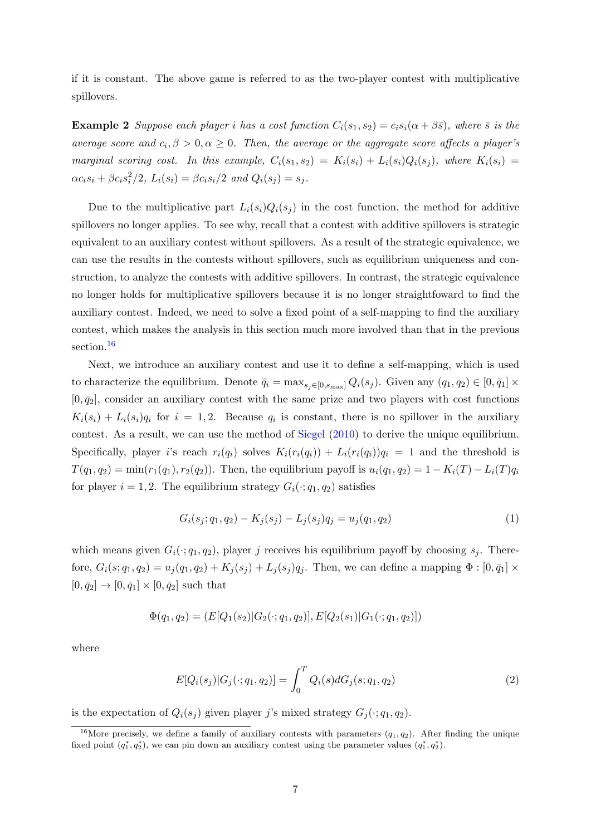<span id="page-6-3"></span>if it is constant. The above game is referred to as the two-player contest with multiplicative spillovers.

<span id="page-6-0"></span>**Example 2** Suppose each player i has a cost function  $C_i(s_1, s_2) = c_i s_i(\alpha + \beta \bar{s})$ , where  $\bar{s}$  is the average score and  $c_i, \beta > 0, \alpha \ge 0$ . Then, the average or the aggregate score affects a player's marginal scoring cost. In this example,  $C_i(s_1, s_2) = K_i(s_i) + L_i(s_i)Q_i(s_i)$ , where  $K_i(s_i)$  $\alpha c_i s_i + \beta c_i s_i^2 / 2$ ,  $L_i(s_i) = \beta c_i s_i / 2$  and  $Q_i(s_j) = s_j$ .

Due to the multiplicative part  $L_i(s_i)Q_i(s_j)$  in the cost function, the method for additive spillovers no longer applies. To see why, recall that a contest with additive spillovers is strategic equivalent to an auxiliary contest without spillovers. As a result of the strategic equivalence, we can use the results in the contests without spillovers, such as equilibrium uniqueness and construction, to analyze the contests with additive spillovers. In contrast, the strategic equivalence no longer holds for multiplicative spillovers because it is no longer straightfoward to find the auxiliary contest. Indeed, we need to solve a fixed point of a self-mapping to find the auxiliary contest, which makes the analysis in this section much more involved than that in the previous section.<sup>[16](#page-6-1)</sup>

Next, we introduce an auxiliary contest and use it to define a self-mapping, which is used to characterize the equilibrium. Denote  $\bar{q}_i = \max_{s_j \in [0, s_{\text{max}}]} Q_i(s_j)$ . Given any  $(q_1, q_2) \in [0, \bar{q}_1] \times$  $[0, \bar{q}_2]$ , consider an auxiliary contest with the same prize and two players with cost functions  $K_i(s_i) + L_i(s_i)q_i$  for  $i = 1, 2$ . Because  $q_i$  is constant, there is no spillover in the auxiliary contest. As a result, we can use the method of [Siegel](#page-11-1) [\(2010\)](#page-11-1) to derive the unique equilibrium. Specifically, player is reach  $r_i(q_i)$  solves  $K_i(r_i(q_i)) + L_i(r_i(q_i))q_i = 1$  and the threshold is  $T(q_1, q_2) = \min(r_1(q_1), r_2(q_2))$ . Then, the equilibrium payoff is  $u_i(q_1, q_2) = 1 - K_i(T) - L_i(T)q_i$ for player  $i = 1, 2$ . The equilibrium strategy  $G_i(\cdot; q_1, q_2)$  satisfies

<span id="page-6-2"></span>
$$
G_i(s_j; q_1, q_2) - K_j(s_j) - L_j(s_j)q_j = u_j(q_1, q_2)
$$
\n(1)

which means given  $G_i(\cdot; q_1, q_2)$ , player j receives his equilibrium payoff by choosing  $s_i$ . Therefore,  $G_i(s; q_1, q_2) = u_j(q_1, q_2) + K_j(s_j) + L_j(s_j)q_j$ . Then, we can define a mapping  $\Phi : [0, \bar{q}_1] \times$  $[0, \bar{q}_2] \to [0, \bar{q}_1] \times [0, \bar{q}_2]$  such that

$$
\Phi(q_1, q_2) = (E[Q_1(s_2)|G_2(\cdot; q_1, q_2)], E[Q_2(s_1)|G_1(\cdot; q_1, q_2)])
$$

where

$$
E[Q_i(s_j)|G_j(\cdot;q_1,q_2)] = \int_0^T Q_i(s)dG_j(s;q_1,q_2)
$$
\n(2)

is the expectation of  $Q_i(s_j)$  given player j's mixed strategy  $G_j(\cdot; q_1, q_2)$ .

<span id="page-6-1"></span><sup>&</sup>lt;sup>16</sup>More precisely, we define a family of auxiliary contests with parameters  $(q_1, q_2)$ . After finding the unique fixed point  $(q_1^*, q_2^*)$ , we can pin down an auxiliary contest using the parameter values  $(q_1^*, q_2^*)$ .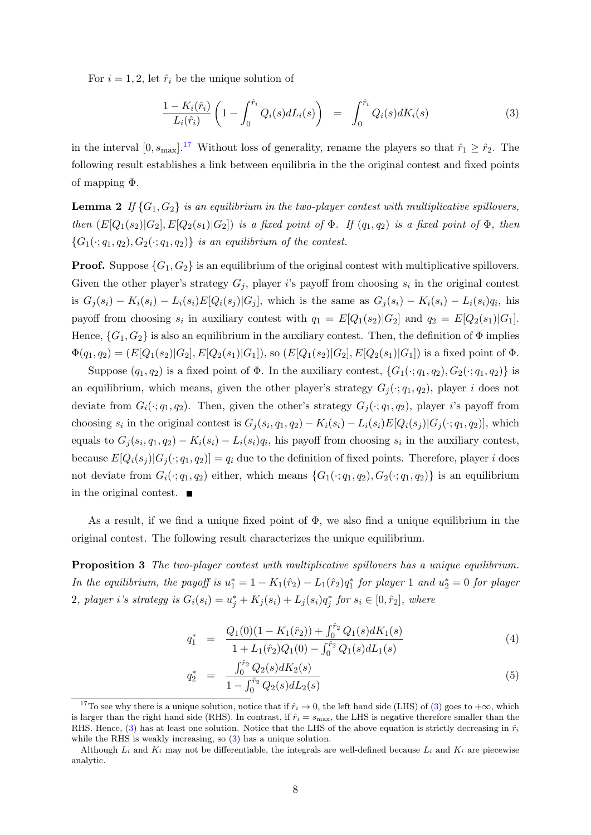For  $i = 1, 2$ , let  $\hat{r}_i$  be the unique solution of

<span id="page-7-3"></span><span id="page-7-1"></span>
$$
\frac{1 - K_i(\hat{r}_i)}{L_i(\hat{r}_i)} \left(1 - \int_0^{\hat{r}_i} Q_i(s) dL_i(s)\right) = \int_0^{\hat{r}_i} Q_i(s) dK_i(s) \tag{3}
$$

in the interval  $[0, s_{\text{max}}]$ .<sup>[17](#page-7-0)</sup> Without loss of generality, rename the players so that  $\hat{r}_1 \geq \hat{r}_2$ . The following result establishes a link between equilibria in the the original contest and fixed points of mapping Φ.

**Lemma 2** If  $\{G_1, G_2\}$  is an equilibrium in the two-player contest with multiplicative spillovers, then  $(E[Q_1(s_2)|G_2], E[Q_2(s_1)|G_2])$  is a fixed point of  $\Phi$ . If  $(q_1, q_2)$  is a fixed point of  $\Phi$ , then  ${G_1(\cdot;q_1,q_2), G_2(\cdot;q_1,q_2)}$  is an equilibrium of the contest.

**Proof.** Suppose  $\{G_1, G_2\}$  is an equilibrium of the original contest with multiplicative spillovers. Given the other player's strategy  $G_j$ , player i's payoff from choosing  $s_i$  in the original contest is  $G_j(s_i) - K_i(s_i) - L_i(s_i)E[Q_i(s_j)|G_j]$ , which is the same as  $G_j(s_i) - K_i(s_i) - L_i(s_i)q_i$ , his payoff from choosing  $s_i$  in auxiliary contest with  $q_1 = E[Q_1(s_2)|G_2]$  and  $q_2 = E[Q_2(s_1)|G_1]$ . Hence,  $\{G_1, G_2\}$  is also an equilibrium in the auxiliary contest. Then, the definition of  $\Phi$  implies  $\Phi(q_1, q_2) = (E[Q_1(s_2)|G_2], E[Q_2(s_1)|G_1]),$  so  $(E[Q_1(s_2)|G_2], E[Q_2(s_1)|G_1])$  is a fixed point of  $\Phi$ .

Suppose  $(q_1, q_2)$  is a fixed point of  $\Phi$ . In the auxiliary contest,  $\{G_1(\cdot; q_1, q_2), G_2(\cdot; q_1, q_2)\}$  is an equilibrium, which means, given the other player's strategy  $G_i(\cdot; q_1, q_2)$ , player i does not deviate from  $G_i(\cdot; q_1, q_2)$ . Then, given the other's strategy  $G_i(\cdot; q_1, q_2)$ , player i's payoff from choosing  $s_i$  in the original contest is  $G_j(s_i, q_1, q_2) - K_i(s_i) - L_i(s_i)E[Q_i(s_j)|G_j(\cdot; q_1, q_2)]$ , which equals to  $G_j(s_i, q_1, q_2) - K_i(s_i) - L_i(s_i)q_i$ , his payoff from choosing  $s_i$  in the auxiliary contest, because  $E[Q_i(s_j)|G_j(\cdot; q_1, q_2)] = q_i$  due to the definition of fixed points. Therefore, player i does not deviate from  $G_i(\cdot; q_1, q_2)$  either, which means  $\{G_1(\cdot; q_1, q_2), G_2(\cdot; q_1, q_2)\}\$ is an equilibrium in the original contest.  $\blacksquare$ 

As a result, if we find a unique fixed point of  $\Phi$ , we also find a unique equilibrium in the original contest. The following result characterizes the unique equilibrium.

<span id="page-7-4"></span>**Proposition 3** The two-player contest with multiplicative spillovers has a unique equilibrium. In the equilibrium, the payoff is  $u_1^* = 1 - K_1(\hat{r}_2) - L_1(\hat{r}_2)q_1^*$  for player 1 and  $u_2^* = 0$  for player 2, player i's strategy is  $G_i(s_i) = u_j^* + K_j(s_i) + L_j(s_i)q_j^*$  for  $s_i \in [0, \hat{r}_2]$ , where

<span id="page-7-2"></span>
$$
q_1^* = \frac{Q_1(0)(1 - K_1(\hat{r}_2)) + \int_0^{\hat{r}_2} Q_1(s) dK_1(s)}{1 + L_1(\hat{r}_2)Q_1(0) - \int_0^{\hat{r}_2} Q_1(s) dL_1(s)}
$$
(4)

$$
q_2^* = \frac{\int_0^{\hat{r}_2} Q_2(s) dK_2(s)}{1 - \int_0^{\hat{r}_2} Q_2(s) dL_2(s)} \tag{5}
$$

<span id="page-7-0"></span><sup>&</sup>lt;sup>17</sup>To see why there is a unique solution, notice that if  $\hat{r}_i \to 0$ , the left hand side (LHS) of [\(3\)](#page-7-1) goes to  $+\infty$ , which is larger than the right hand side (RHS). In contrast, if  $\hat{r}_i = s_{\text{max}}$ , the LHS is negative therefore smaller than the RHS. Hence, [\(3\)](#page-7-1) has at least one solution. Notice that the LHS of the above equation is strictly decreasing in  $\hat{r}_i$ while the RHS is weakly increasing, so  $(3)$  has a unique solution.

Although  $L_i$  and  $K_i$  may not be differentiable, the integrals are well-defined because  $L_i$  and  $K_i$  are piecewise analytic.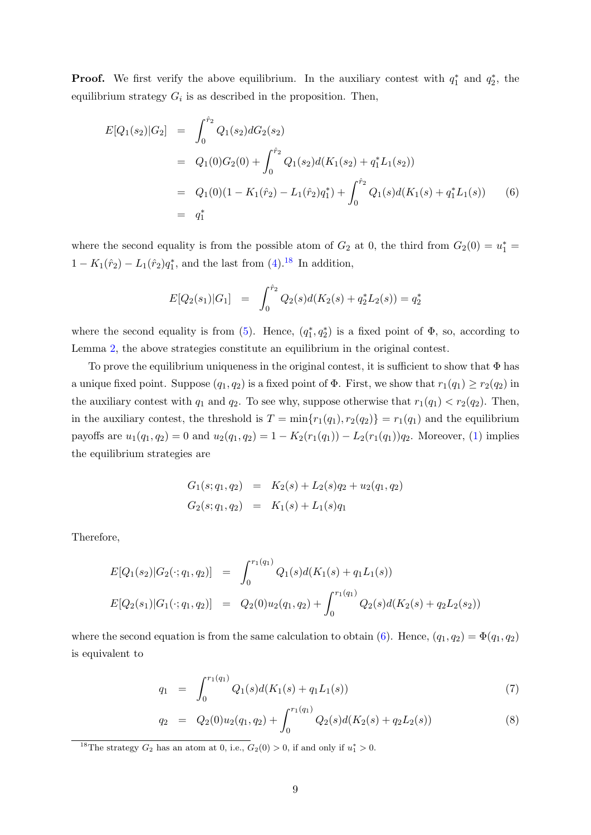**Proof.** We first verify the above equilibrium. In the auxiliary contest with  $q_1^*$  and  $q_2^*$ , the equilibrium strategy  $G_i$  is as described in the proposition. Then,

<span id="page-8-1"></span>
$$
E[Q_1(s_2)|G_2] = \int_0^{\hat{r}_2} Q_1(s_2)dG_2(s_2)
$$
  
=  $Q_1(0)G_2(0) + \int_0^{\hat{r}_2} Q_1(s_2)d(K_1(s_2) + q_1^*L_1(s_2))$   
=  $Q_1(0)(1 - K_1(\hat{r}_2) - L_1(\hat{r}_2)q_1^*) + \int_0^{\hat{r}_2} Q_1(s)d(K_1(s) + q_1^*L_1(s))$  (6)  
=  $q_1^*$ 

where the second equality is from the possible atom of  $G_2$  at 0, the third from  $G_2(0) = u_1^* =$  $1 - K_1(\hat{r}_2) - L_1(\hat{r}_2)q_1^*$ , and the last from [\(4\)](#page-7-2).<sup>[18](#page-8-0)</sup> In addition,

$$
E[Q_2(s_1)|G_1] = \int_0^{\hat{r}_2} Q_2(s)d(K_2(s) + q_2^*L_2(s)) = q_2^*
$$

where the second equality is from [\(5\)](#page-7-2). Hence,  $(q_1^*, q_2^*)$  is a fixed point of  $\Phi$ , so, according to Lemma [2,](#page-7-3) the above strategies constitute an equilibrium in the original contest.

To prove the equilibrium uniqueness in the original contest, it is sufficient to show that  $\Phi$  has a unique fixed point. Suppose  $(q_1, q_2)$  is a fixed point of  $\Phi$ . First, we show that  $r_1(q_1) \geq r_2(q_2)$  in the auxiliary contest with  $q_1$  and  $q_2$ . To see why, suppose otherwise that  $r_1(q_1) < r_2(q_2)$ . Then, in the auxiliary contest, the threshold is  $T = \min\{r_1(q_1), r_2(q_2)\} = r_1(q_1)$  and the equilibrium payoffs are  $u_1(q_1, q_2) = 0$  and  $u_2(q_1, q_2) = 1 - K_2(r_1(q_1)) - L_2(r_1(q_1))q_2$ . Moreover, [\(1\)](#page-6-2) implies the equilibrium strategies are

$$
G_1(s; q_1, q_2) = K_2(s) + L_2(s)q_2 + u_2(q_1, q_2)
$$
  

$$
G_2(s; q_1, q_2) = K_1(s) + L_1(s)q_1
$$

Therefore,

$$
E[Q_1(s_2)|G_2(\cdot;q_1,q_2)] = \int_0^{r_1(q_1)} Q_1(s)d(K_1(s) + q_1L_1(s))
$$
  
\n
$$
E[Q_2(s_1)|G_1(\cdot;q_1,q_2)] = Q_2(0)u_2(q_1,q_2) + \int_0^{r_1(q_1)} Q_2(s)d(K_2(s) + q_2L_2(s_2))
$$

where the second equation is from the same calculation to obtain [\(6\)](#page-8-1). Hence,  $(q_1, q_2) = \Phi(q_1, q_2)$ is equivalent to

<span id="page-8-2"></span>
$$
q_1 = \int_0^{r_1(q_1)} Q_1(s) d(K_1(s) + q_1 L_1(s)) \tag{7}
$$

$$
q_2 = Q_2(0)u_2(q_1, q_2) + \int_0^{r_1(q_1)} Q_2(s)d(K_2(s) + q_2L_2(s))
$$
\n(8)

<span id="page-8-0"></span><sup>18</sup>The strategy  $G_2$  has an atom at 0, i.e.,  $G_2(0) > 0$ , if and only if  $u_1^* > 0$ .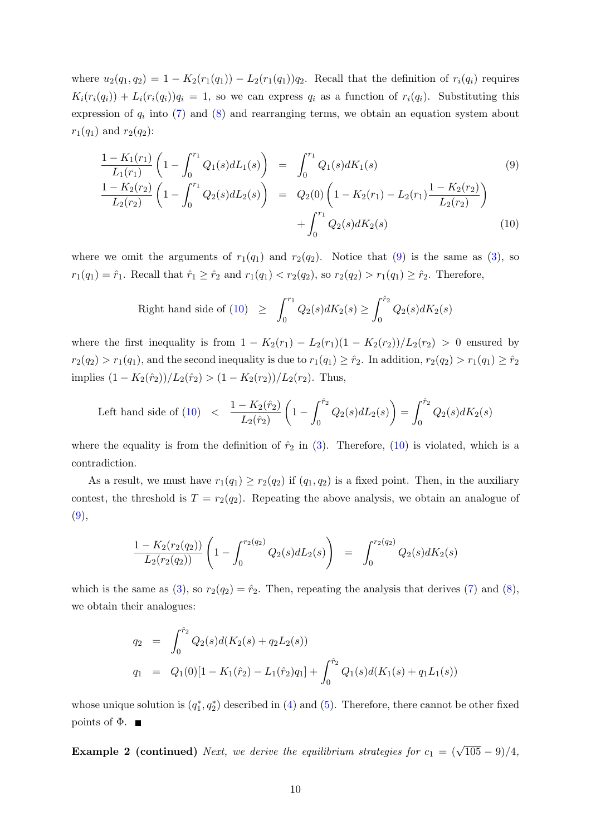where  $u_2(q_1, q_2) = 1 - K_2(r_1(q_1)) - L_2(r_1(q_1))q_2$ . Recall that the definition of  $r_i(q_i)$  requires  $K_i(r_i(q_i)) + L_i(r_i(q_i))q_i = 1$ , so we can express  $q_i$  as a function of  $r_i(q_i)$ . Substituting this expression of  $q_i$  into [\(7\)](#page-8-2) and [\(8\)](#page-8-2) and rearranging terms, we obtain an equation system about  $r_1(q_1)$  and  $r_2(q_2)$ :

<span id="page-9-0"></span>
$$
\frac{1 - K_1(r_1)}{L_1(r_1)} \left(1 - \int_0^{r_1} Q_1(s) dL_1(s)\right) = \int_0^{r_1} Q_1(s) dK_1(s)
$$
\n
$$
\frac{1 - K_2(r_2)}{L_2(r_2)} \left(1 - \int_0^{r_1} Q_2(s) dL_2(s)\right) = Q_2(0) \left(1 - K_2(r_1) - L_2(r_1) \frac{1 - K_2(r_2)}{L_2(r_2)}\right)
$$
\n
$$
+ \int_0^{r_1} Q_2(s) dK_2(s)
$$
\n(10)

where we omit the arguments of  $r_1(q_1)$  and  $r_2(q_2)$ . Notice that [\(9\)](#page-9-0) is the same as [\(3\)](#page-7-1), so  $r_1(q_1) = \hat{r}_1$ . Recall that  $\hat{r}_1 \ge \hat{r}_2$  and  $r_1(q_1) < r_2(q_2)$ , so  $r_2(q_2) > r_1(q_1) \ge \hat{r}_2$ . Therefore,

Right hand side of (10) 
$$
\geq \int_0^{r_1} Q_2(s) dK_2(s) \geq \int_0^{\hat{r}_2} Q_2(s) dK_2(s)
$$

where the first inequality is from  $1 - K_2(r_1) - L_2(r_1)(1 - K_2(r_2))/L_2(r_2) > 0$  ensured by  $r_2(q_2) > r_1(q_1)$ , and the second inequality is due to  $r_1(q_1) \geq \hat{r}_2$ . In addition,  $r_2(q_2) > r_1(q_1) \geq \hat{r}_2$ implies  $(1 - K_2(\hat{r}_2))/L_2(\hat{r}_2) > (1 - K_2(r_2))/L_2(r_2)$ . Thus,

Left hand side of (10) 
$$
\langle \frac{1 - K_2(\hat{r}_2)}{L_2(\hat{r}_2)} \left(1 - \int_0^{\hat{r}_2} Q_2(s) dL_2(s)\right) = \int_0^{\hat{r}_2} Q_2(s) dK_2(s)
$$

where the equality is from the definition of  $\hat{r}_2$  in [\(3\)](#page-7-1). Therefore, [\(10\)](#page-9-0) is violated, which is a contradiction.

As a result, we must have  $r_1(q_1) \ge r_2(q_2)$  if  $(q_1, q_2)$  is a fixed point. Then, in the auxiliary contest, the threshold is  $T = r_2(q_2)$ . Repeating the above analysis, we obtain an analogue of  $(9),$  $(9),$ 

$$
\frac{1-K_2(r_2(q_2))}{L_2(r_2(q_2))}\left(1-\int_0^{r_2(q_2)}Q_2(s)dL_2(s)\right) = \int_0^{r_2(q_2)}Q_2(s)dK_2(s)
$$

which is the same as [\(3\)](#page-7-1), so  $r_2(q_2) = \hat{r}_2$ . Then, repeating the analysis that derives [\(7\)](#page-8-2) and [\(8\)](#page-8-2), we obtain their analogues:

$$
q_2 = \int_0^{\hat{r}_2} Q_2(s) d(K_2(s) + q_2 L_2(s))
$$
  
\n
$$
q_1 = Q_1(0)[1 - K_1(\hat{r}_2) - L_1(\hat{r}_2)q_1] + \int_0^{\hat{r}_2} Q_1(s) d(K_1(s) + q_1 L_1(s))
$$

whose unique solution is  $(q_1^*, q_2^*)$  described in [\(4\)](#page-7-2) and [\(5\)](#page-7-2). Therefore, there cannot be other fixed points of  $\Phi$ .

**Example 2 (continued)** Next, we derive the equilibrium strategies for  $c_1 = (\sqrt{105} - 9)/4$ ,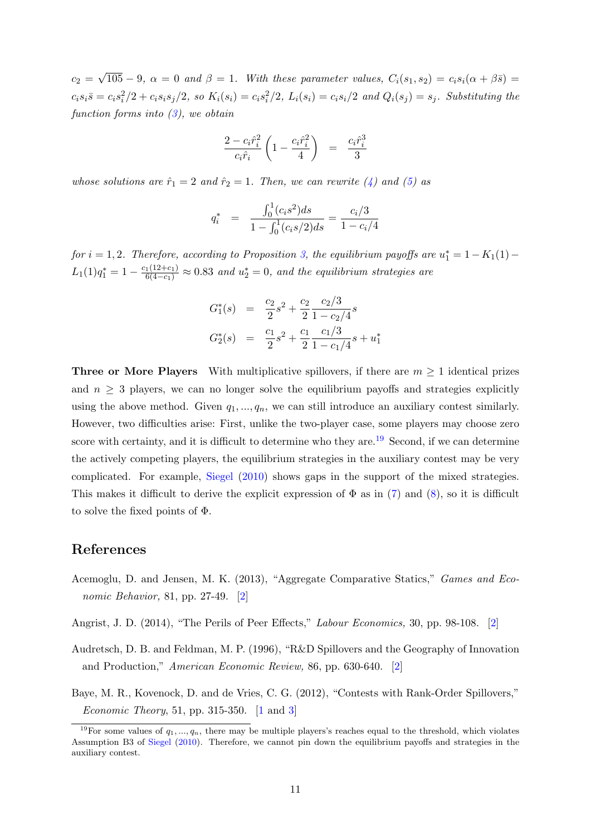<span id="page-10-5"></span> $c_2 =$ √  $105 - 9$ ,  $\alpha = 0$  and  $\beta = 1$ . With these parameter values,  $C_i(s_1, s_2) = c_i s_i(\alpha + \beta \bar{s}) =$  $c_i s_i \overline{s} = c_i s_i^2/2 + c_i s_i s_j/2$ , so  $K_i(s_i) = c_i s_i^2/2$ ,  $L_i(s_i) = c_i s_i/2$  and  $Q_i(s_j) = s_j$ . Substituting the function forms into  $(3)$ , we obtain

$$
\frac{2-c_i\hat{r}_i^2}{c_i\hat{r}_i}\left(1-\frac{c_i\hat{r}_i^2}{4}\right) = \frac{c_i\hat{r}_i^3}{3}
$$

whose solutions are  $\hat{r}_1 = 2$  and  $\hat{r}_2 = 1$ . Then, we can rewrite [\(4\)](#page-7-2) and [\(5\)](#page-7-2) as

$$
q_i^* = \frac{\int_0^1 (c_i s^2) ds}{1 - \int_0^1 (c_i s/2) ds} = \frac{c_i/3}{1 - c_i/4}
$$

for  $i = 1, 2$ . Therefore, according to Proposition [3,](#page-7-4) the equilibrium payoffs are  $u_1^* = 1 - K_1(1) L_1(1)q_1^* = 1 - \frac{c_1(12+c_1)}{6(4-c_1)} \approx 0.83$  and  $u_2^* = 0$ , and the equilibrium strategies are

$$
G_1^*(s) = \frac{c_2}{2}s^2 + \frac{c_2}{2} \frac{c_2/3}{1 - c_2/4}s
$$
  

$$
G_2^*(s) = \frac{c_1}{2}s^2 + \frac{c_1}{2} \frac{c_1/3}{1 - c_1/4}s + u_1^*
$$

**Three or More Players** With multiplicative spillovers, if there are  $m \geq 1$  identical prizes and  $n \geq 3$  players, we can no longer solve the equilibrium payoffs and strategies explicitly using the above method. Given  $q_1, ..., q_n$ , we can still introduce an auxiliary contest similarly. However, two difficulties arise: First, unlike the two-player case, some players may choose zero score with certainty, and it is difficult to determine who they are.<sup>[19](#page-10-4)</sup> Second, if we can determine the actively competing players, the equilibrium strategies in the auxiliary contest may be very complicated. For example, [Siegel](#page-11-1) [\(2010\)](#page-11-1) shows gaps in the support of the mixed strategies. This makes it difficult to derive the explicit expression of  $\Phi$  as in [\(7\)](#page-8-2) and [\(8\)](#page-8-2), so it is difficult to solve the fixed points of Φ.

#### References

- <span id="page-10-3"></span>Acemoglu, D. and Jensen, M. K. (2013), "Aggregate Comparative Statics," Games and Economic Behavior, 81, pp. 27-49. [\[2\]](#page-1-6)
- <span id="page-10-2"></span>Angrist, J. D. (2014), "The Perils of Peer Effects," Labour Economics, 30, pp. 98-108. [\[2\]](#page-1-6)
- <span id="page-10-1"></span>Audretsch, D. B. and Feldman, M. P. (1996), "R&D Spillovers and the Geography of Innovation and Production," American Economic Review, 86, pp. 630-640. [\[2\]](#page-1-6)
- <span id="page-10-0"></span>Baye, M. R., Kovenock, D. and de Vries, C. G. (2012), "Contests with Rank-Order Spillovers," *Economic Theory*, 51, pp. 315-350. [\[1](#page-0-0) and [3\]](#page-2-7)

<span id="page-10-4"></span><sup>&</sup>lt;sup>19</sup>For some values of  $q_1, ..., q_n$ , there may be multiple players's reaches equal to the threshold, which violates Assumption B3 of [Siegel](#page-11-1) [\(2010\)](#page-11-1). Therefore, we cannot pin down the equilibrium payoffs and strategies in the auxiliary contest.